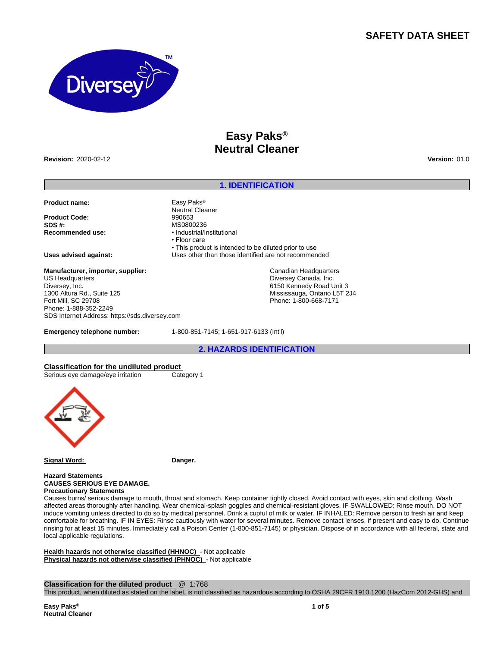## **SAFETY DATA SHEET**



# **Easy Paks® Neutral Cleaner**

**Revision:** 2020-02-12 **Version:** 01.0

## **1. IDENTIFICATION**

Canadian Headquarters Diversey Canada, Inc. 6150 Kennedy Road Unit 3 Mississauga, Ontario L5T 2J4 Phone: 1-800-668-7171

• This product is intended to be diluted prior to use

**Product name:** Easy Paks®

**Product Code:** 990653<br>**SDS #:** MS0800 **SDS #:**<br> **Recommended use:**<br> **Recommended use:**<br> **example:**<br> **example:** 

**Uses advised against:** Uses other than those identified are not recommended

**Manufacturer, importer, supplier:** US Headquarters Diversey, Inc. 1300 Altura Rd., Suite 125 Fort Mill, SC 29708 Phone: 1-888-352-2249 SDS Internet Address: https://sds.diversey.com

**Emergency telephone number:** 1-800-851-7145; 1-651-917-6133 (Int'l)

Neutral Cleaner

• Floor care

**Recommended use:** •Industrial/Institutional

**2. HAZARDS IDENTIFICATION**

**Classification for the undiluted product** Serious eye damage/eye irritation Category 1



**Signal Word: Danger.**

**Hazard Statements CAUSES SERIOUS EYE DAMAGE. Precautionary Statements** 

Causes burns/ serious damage to mouth, throat and stomach. Keep container tightly closed. Avoid contact with eyes, skin and clothing. Wash affected areas thoroughly after handling. Wear chemical-splash goggles and chemical-resistant gloves. IF SWALLOWED: Rinse mouth. DO NOT induce vomiting unless directed to do so by medical personnel. Drink a cupful of milk or water. IF INHALED: Remove person to fresh air and keep comfortable for breathing. IF IN EYES: Rinse cautiously with water for several minutes. Remove contact lenses, if present and easy to do. Continue rinsing for at least 15 minutes. Immediately call a Poison Center (1-800-851-7145) or physician. Dispose of in accordance with all federal, state and local applicable regulations.

**Health hazards not otherwise classified (HHNOC)** - Not applicable **Physical hazards not otherwise classified (PHNOC)** - Not applicable

**Classification for the diluted product** @ 1:768

This product, when diluted as stated on the label, is not classified as hazardous according to OSHA 29CFR 1910.1200 (HazCom 2012-GHS) and

**Easy Paks® Neutral Cleaner**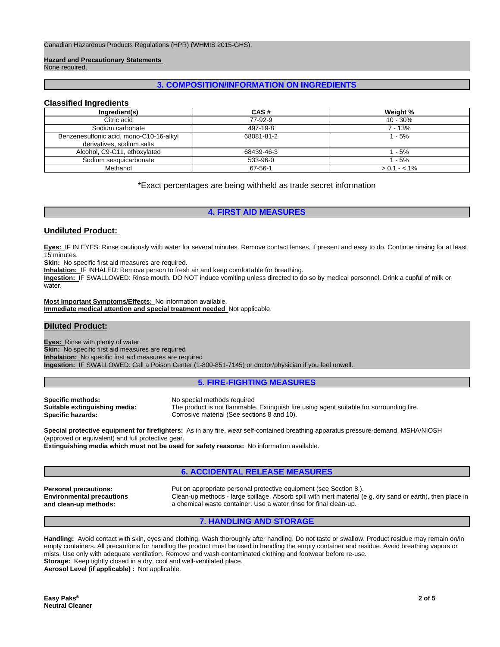**Hazard and Precautionary Statements** 

None required.

## **3. COMPOSITION/INFORMATION ON INGREDIENTS**

## **Classified Ingredients**

| Ingredient(s)                                                        | CAS#       | Weight %      |
|----------------------------------------------------------------------|------------|---------------|
| Citric acid                                                          | 77-92-9    | $10 - 30%$    |
| Sodium carbonate                                                     | 497-19-8   | 7 - 13%       |
| Benzenesulfonic acid, mono-C10-16-alkyl<br>derivatives, sodium salts | 68081-81-2 | $1 - 5%$      |
| Alcohol, C9-C11, ethoxylated                                         | 68439-46-3 | $1 - 5%$      |
| Sodium sesquicarbonate                                               | 533-96-0   | 1 - 5%        |
| Methanol                                                             | 67-56-1    | $> 0.1 - 1\%$ |

\*Exact percentages are being withheld as trade secret information

## **4. FIRST AID MEASURES**

### **Undiluted Product:**

**Eyes:** IF IN EYES: Rinse cautiously with water for several minutes. Remove contact lenses, if present and easy to do. Continue rinsing for at least 15 minutes.

**Skin:** No specific first aid measures are required.

**Inhalation:** IF INHALED: Remove person to fresh air and keep comfortable for breathing.

**Ingestion:** IF SWALLOWED: Rinse mouth. DO NOT induce vomiting unless directed to do so by medical personnel. Drink a cupful of milk or water.

**Most Important Symptoms/Effects:** No information available. **Immediate medical attention and special treatment needed** Not applicable.

## **Diluted Product:**

**Eyes:** Rinse with plenty of water. **Skin:** No specific first aid measures are required **Inhalation:** No specific first aid measures are required **Ingestion:** IF SWALLOWED: Call a Poison Center (1-800-851-7145) or doctor/physician if you feel unwell.

#### **5. FIRE-FIGHTING MEASURES**

**Specific methods:** No special methods required

**Suitable extinguishing media:** The product is not flammable. Extinguish fire using agent suitable for surrounding fire. **Specific hazards:** Corrosive material (See sections 8 and 10).

**Special protective equipment for firefighters:** As in any fire, wear self-contained breathing apparatus pressure-demand, MSHA/NIOSH (approved or equivalent) and full protective gear.

**Extinguishing media which must not be used for safety reasons:** No information available.

### **6. ACCIDENTAL RELEASE MEASURES**

**Environmental precautions and clean-up methods:**

**Personal precautions:** Put on appropriate personal protective equipment (see Section 8.). Clean-up methods - large spillage. Absorb spill with inert material (e.g. dry sand or earth), then place in a chemical waste container. Use a water rinse for final clean-up.

## **7. HANDLING AND STORAGE**

**Handling:** Avoid contact with skin, eyes and clothing. Wash thoroughly after handling. Do not taste or swallow. Product residue may remain on/in empty containers. All precautions for handling the product must be used in handling the empty container and residue. Avoid breathing vapors or mists. Use only with adequate ventilation. Remove and wash contaminated clothing and footwear before re-use. **Storage:** Keep tightly closed in a dry, cool and well-ventilated place. **Aerosol Level (if applicable) :** Not applicable.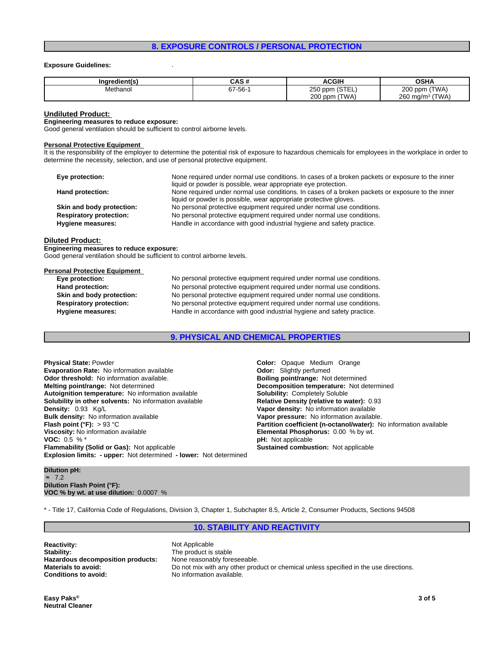### **8. EXPOSURE CONTROLS / PERSONAL PROTECTION**

#### **Exposure Guidelines:** .

| Ingredient(s) | . <i>.</i><br>ua u | <b>ACGIH</b>       | <b>OSHA</b>                                     |
|---------------|--------------------|--------------------|-------------------------------------------------|
| Methanol      | $67 - 56 - 7$      | 250 ppm (STEL)     | (TWA)<br>$200$ ppm                              |
|               |                    | $200$ ppm<br>(TWA) | า <sup>3</sup> (TWA)<br>$260$ mg/m <sup>3</sup> |

#### **Undiluted Product:**

**Engineering measures to reduce exposure:**

Good general ventilation should be sufficient to control airborne levels.

#### **Personal Protective Equipment**

It is the responsibility of the employer to determine the potential risk of exposure to hazardous chemicals for employees in the workplace in order to determine the necessity, selection, and use of personal protective equipment.

| Eye protection:                | None required under normal use conditions. In cases of a broken packets or exposure to the inner |
|--------------------------------|--------------------------------------------------------------------------------------------------|
|                                | liquid or powder is possible, wear appropriate eye protection.                                   |
| Hand protection:               | None required under normal use conditions. In cases of a broken packets or exposure to the inner |
|                                | liquid or powder is possible, wear appropriate protective gloves.                                |
| Skin and body protection:      | No personal protective equipment required under normal use conditions.                           |
| <b>Respiratory protection:</b> | No personal protective equipment required under normal use conditions.                           |
| Hygiene measures:              | Handle in accordance with good industrial hygiene and safety practice.                           |

#### **Diluted Product:**

**Engineering measures to reduce exposure:** Good general ventilation should be sufficient to control airborne levels.

#### **Personal Protective Equipment**

**Eye protection:** No personal protective equipment required under normal use conditions. **Hand protection:** No personal protective equipment required under normal use conditions. **Skin and body protection:** No personal protective equipment required under normal use conditions. **Respiratory protection:** No personal protective equipment required under normal use conditions. **Hygiene measures:** Handle in accordance with good industrial hygiene and safety practice.

**9. PHYSICAL AND CHEMICAL PROPERTIES**

**Explosion limits: - upper:** Not determined **- lower:** Not determined **Physical State:** Powder **Color:** Opaque Medium Orange **Evaporation Rate:** No information available **Configuration State:** Odor: Slightly perfumed **Odor**: **Odor:** *Slightly perfumed* **Odor:** *Slightly perfumed* **Odor:** *Slightly perfumed* **Odor:** *Slightly point/range:* **Not det Odor threshold: No information available.**<br>**Melting point/range: Not determined Autoignition temperature:** No information available **Solubility:** Completely Soluble **Solubility in other solvents: No information available Density:** 0.93 Kg/L<br> **Bulk density:** No information available<br> **Bulk density:** No information available<br> **Vapor pressure:** No information available **Flash point (°F):** > 93 °C **Partition coefficient (n-octanol/water):** No information available **Viscosity:** No information available **Elemental Phosphorus:** 0.00 % by wt. **VOC:** 0.5 % \*<br> **Flammability (Solid or Gas):** Not applicable **by the set of applicable Sustained combustion:** Not applicable **Flammability (Solid or Gas): Not applicable** 

**Decomposition temperature:** Not determined **Bulk density:** No information available **Vapor pressure:** No information available.

#### **Dilution pH:** ≈ 7.2 **Dilution Flash Point (°F): VOC % by wt. at use dilution:** 0.0007 %

\* - Title 17, California Code of Regulations, Division 3, Chapter 1, Subchapter 8.5, Article 2, Consumer Products, Sections 94508

## **10. STABILITY AND REACTIVITY**

**Reactivity:** Not Applicable Stability: Not Applicable Stability: Hazardous decomposition products: **Conditions to avoid:** No information available.

The product is stable<br>None reasonably foreseeable. **Materials to avoid:** Do not mix with any other product or chemical unless specified in the use directions.

**Easy Paks® Neutral Cleaner**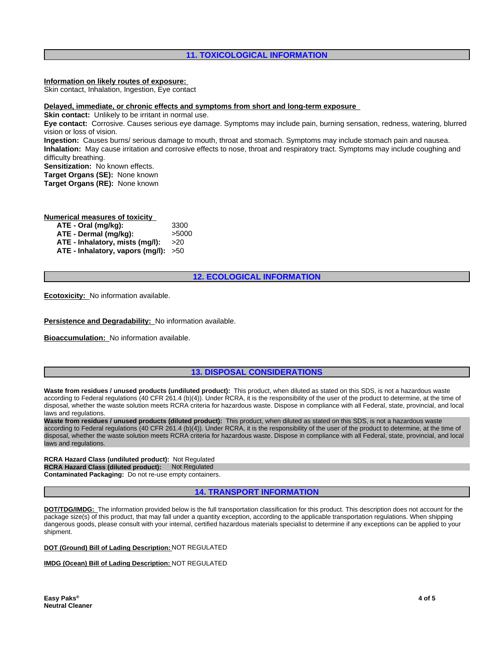## **11. TOXICOLOGICAL INFORMATION**

**Information on likely routes of exposure:**

Skin contact, Inhalation, Ingestion, Eye contact

#### **Delayed, immediate, or chronic effects and symptoms from short and long-term exposure**

**Skin contact:** Unlikely to be irritant in normal use.

**Eye contact:** Corrosive. Causes serious eye damage. Symptoms may include pain, burning sensation, redness, watering, blurred vision or loss of vision.

**Ingestion:** Causes burns/ serious damage to mouth, throat and stomach. Symptoms may include stomach pain and nausea. **Inhalation:** May cause irritation and corrosive effects to nose, throat and respiratory tract. Symptoms may include coughing and difficulty breathing.

**Sensitization:** No known effects.

**Target Organs (SE):** None known

**Target Organs (RE):** None known

#### **Numerical measures of toxicity**

| ATE - Oral (mg/kg):                    | 3300  |
|----------------------------------------|-------|
| ATE - Dermal (mg/kg):                  | >5000 |
| ATE - Inhalatory, mists (mg/l):        | >20   |
| ATE - Inhalatory, vapors $(mg/l): >50$ |       |

### **12. ECOLOGICAL INFORMATION**

**Ecotoxicity:** No information available.

**Persistence and Degradability:** No information available.

**Bioaccumulation:** No information available.

### **13. DISPOSAL CONSIDERATIONS**

**Waste from residues / unused products (undiluted product):** This product, when diluted as stated on this SDS, is not a hazardous waste according to Federal regulations (40 CFR 261.4 (b)(4)). Under RCRA, it is the responsibility of the user of the product to determine, at the time of disposal, whether the waste solution meets RCRA criteria for hazardous waste. Dispose in compliance with all Federal, state, provincial, and local laws and regulations.

**Waste from residues / unused products (diluted product):** This product, when diluted as stated on this SDS, is not a hazardous waste according to Federal regulations (40 CFR 261.4 (b)(4)). Under RCRA, it is the responsibility of the user of the product to determine, at the time of disposal, whether the waste solution meets RCRA criteria for hazardous waste. Dispose in compliance with all Federal, state, provincial, and local laws and regulations.

**RCRA Hazard Class (undiluted product):** Not Regulated **RCRA Hazard Class (diluted product):** Not Regulated **Contaminated Packaging:** Do not re-use empty containers.

### **14. TRANSPORT INFORMATION**

**DOT/TDG/IMDG:** The information provided below is the full transportation classification for this product. This description does not account for the package size(s) of this product, that may fall under a quantity exception, according to the applicable transportation regulations. When shipping dangerous goods, please consult with your internal, certified hazardous materials specialist to determine if any exceptions can be applied to your shipment.

#### **DOT (Ground) Bill of Lading Description:** NOT REGULATED

## **IMDG (Ocean) Bill of Lading Description:** NOT REGULATED